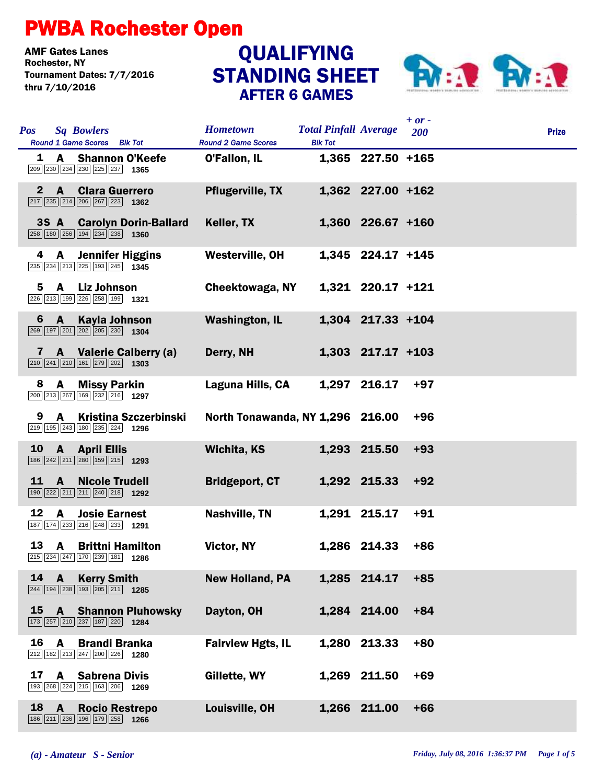## PWBA Rochester Open

**AMF Gates Lanes<br>Rochester. NY** Tournament Dates: 7/7/2016 thru 7/10/2016

## STANDING SHEET AFTER 6 GAMES **QUALIFYING**



|              |              |                                                                                                                           |                                               |                                                |                   | $+ or -$ |              |  |
|--------------|--------------|---------------------------------------------------------------------------------------------------------------------------|-----------------------------------------------|------------------------------------------------|-------------------|----------|--------------|--|
| <b>Pos</b>   |              | <b>Sq Bowlers</b><br>Round 1 Game Scores Blk Tot                                                                          | <b>Hometown</b><br><b>Round 2 Game Scores</b> | <b>Total Pinfall Average</b><br><b>Blk Tot</b> |                   | 200      | <b>Prize</b> |  |
|              | 1 A          | <b>Shannon O'Keefe</b><br>$\boxed{209}$ $\boxed{230}$ $\boxed{234}$ $\boxed{230}$ $\boxed{225}$ $\boxed{237}$<br>1365     | O'Fallon, IL                                  |                                                | 1,365 227.50 +165 |          |              |  |
| $\mathbf{2}$ | $\mathbf{A}$ | <b>Clara Guerrero</b><br>$\boxed{217}$ $\boxed{235}$ $\boxed{214}$ $\boxed{206}$ $\boxed{267}$ $\boxed{223}$ <b>1362</b>  | <b>Pflugerville, TX</b>                       |                                                | 1,362 227.00 +162 |          |              |  |
|              | 3S A         | <b>Carolyn Dorin-Ballard</b><br>$\boxed{258}$ 180 $\boxed{256}$ 194 $\boxed{234}$ 238 1360                                | Keller, TX                                    |                                                | 1,360 226.67 +160 |          |              |  |
| 4            | A            | <b>Jennifer Higgins</b><br>235 234 213 225 193 245 1345                                                                   | Westerville, OH                               |                                                | 1,345 224.17 +145 |          |              |  |
| 5            |              | A Liz Johnson<br>226 213 199 226 258 199 1321                                                                             | Cheektowaga, NY                               |                                                | 1,321 220.17 +121 |          |              |  |
| 6            | $\mathbf{A}$ | <b>Kayla Johnson</b><br>269 197 201 202 205 230 1304                                                                      | <b>Washington, IL</b>                         |                                                | 1,304 217.33 +104 |          |              |  |
|              |              | A Valerie Calberry (a)<br>$\boxed{210}$ $\boxed{241}$ $\boxed{210}$ $\boxed{161}$ $\boxed{279}$ $\boxed{202}$ <b>1303</b> | Derry, NH                                     |                                                | 1,303 217.17 +103 |          |              |  |
| 8            | A            | <b>Missy Parkin</b><br>200 213 267 169 232 216 1297                                                                       | Laguna Hills, CA                              |                                                | 1,297 216.17      | $+97$    |              |  |
| 9            |              | A Kristina Szczerbinski<br>219 195 243 180 235 224 1296                                                                   | North Tonawanda, NY 1,296 216.00              |                                                |                   | $+96$    |              |  |
| <b>10</b>    |              | A April Ellis<br>186 242 211 280 159 215 1293                                                                             | <b>Wichita, KS</b>                            |                                                | 1,293 215.50      | $+93$    |              |  |
| 11           | <b>A</b>     | <b>Nicole Trudell</b><br>190 222 211 211 240 218 1292                                                                     | <b>Bridgeport, CT</b>                         |                                                | 1,292 215.33      | $+92$    |              |  |
| 12           | $\mathbf{A}$ | <b>Josie Earnest</b><br>187 174 233 216 248 233 1291                                                                      | <b>Nashville, TN</b>                          |                                                | 1,291 215.17      | $+91$    |              |  |
| 13           | A            | <b>Brittni Hamilton</b><br>$\boxed{215}$ $\boxed{234}$ $\boxed{247}$ $\boxed{170}$ $\boxed{239}$ $\boxed{181}$ 1286       | Victor, NY                                    |                                                | 1,286 214.33      | $+86$    |              |  |
| 14           | $\mathbf{A}$ | <b>Kerry Smith</b><br>244 194 238 193 205 211 1285                                                                        | <b>New Holland, PA</b>                        |                                                | 1,285 214.17      | $+85$    |              |  |
| 15           | $\mathbf{A}$ | <b>Shannon Pluhowsky</b><br>173 257 210 237 187 220 1284                                                                  | Dayton, OH                                    |                                                | 1,284 214.00      | $+84$    |              |  |
| 16           | A            | <b>Brandi Branka</b><br>212 182 213 247 200 226<br>1280                                                                   | <b>Fairview Hgts, IL</b>                      |                                                | 1,280 213.33      | $+80$    |              |  |
| 17           | A            | <b>Sabrena Divis</b><br>193 268 224 215 163 206 1269                                                                      | Gillette, WY                                  |                                                | 1,269 211.50      | $+69$    |              |  |
| 18           | $\mathbf{A}$ | <b>Rocio Restrepo</b><br>186 211 236 196 179 258 1266                                                                     | Louisville, OH                                |                                                | 1,266 211.00      | $+66$    |              |  |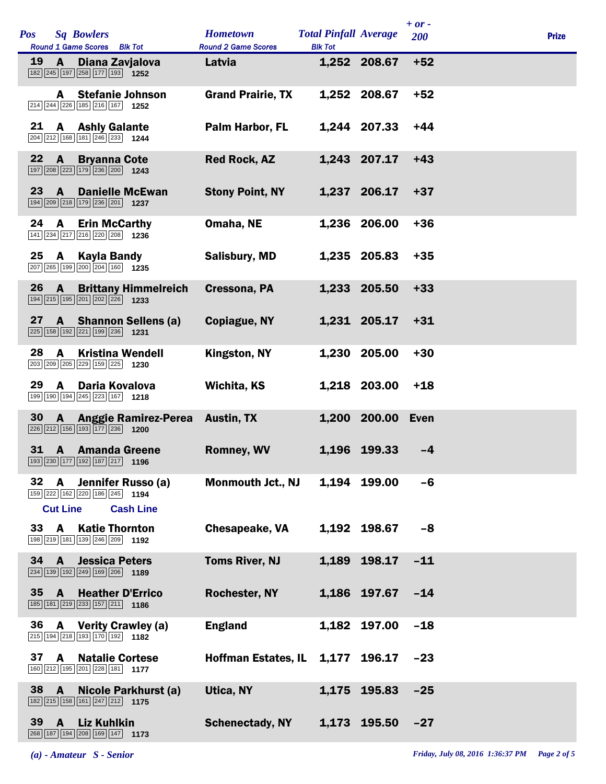| <b>Pos</b> |                             | <b>Sq Bowlers</b><br>Round 1 Game Scores Blk Tot                                                                             | <b>Hometown</b><br><b>Round 2 Game Scores</b> | <b>Total Pinfall Average</b><br><b>Blk Tot</b> |                   | $+ or -$<br>200 | <b>Prize</b> |
|------------|-----------------------------|------------------------------------------------------------------------------------------------------------------------------|-----------------------------------------------|------------------------------------------------|-------------------|-----------------|--------------|
| 19         | A                           | Diana Zavjalova<br>182 245 197 258 177 193 1252                                                                              | Latvia                                        |                                                | 1,252 208.67      | $+52$           |              |
|            | A                           | <b>Stefanie Johnson</b><br>$\boxed{214}$ $\boxed{244}$ $\boxed{226}$ $\boxed{185}$ $\boxed{216}$ $\boxed{167}$ <b>1252</b>   | <b>Grand Prairie, TX</b>                      |                                                | 1,252 208.67      | $+52$           |              |
| 21         | A                           | <b>Ashly Galante</b><br>$\boxed{204}$ $\boxed{212}$ $\boxed{168}$ $\boxed{181}$ $\boxed{246}$ $\boxed{233}$ <b>1244</b>      | Palm Harbor, FL                               |                                                | 1,244 207.33      | $+44$           |              |
| 22         | $\mathbf{A}$                | <b>Bryanna Cote</b><br>197 208 223 179 236 200 1243                                                                          | <b>Red Rock, AZ</b>                           |                                                | 1,243 207.17      | $+43$           |              |
| 23         | $\mathbf{A}$                | <b>Danielle McEwan</b><br>194 209 218 179 236 201 1237                                                                       | <b>Stony Point, NY</b>                        |                                                | 1,237 206.17      | $+37$           |              |
| 24         | A                           | <b>Erin McCarthy</b><br>141 234 217 216 220 208 1236                                                                         | Omaha, NE                                     |                                                | 1,236 206.00      | $+36$           |              |
| 25         | A                           | <b>Kayla Bandy</b><br>207 265 199 200 204 160 1235                                                                           | <b>Salisbury, MD</b>                          |                                                | 1,235 205.83      | $+35$           |              |
| 26         | A                           | <b>Brittany Himmelreich</b><br>194 215 195 201 202 226 1233                                                                  | Cressona, PA                                  |                                                | 1,233 205.50      | $+33$           |              |
| 27         |                             | A Shannon Sellens (a)<br>225 158 192 221 199 236 1231                                                                        | Copiague, NY                                  |                                                | 1,231 205.17      | $+31$           |              |
| 28         | A                           | <b>Kristina Wendell</b><br>203 209 205 229 159 225 1230                                                                      | Kingston, NY                                  |                                                | 1,230 205.00      | $+30$           |              |
| 29         | $\mathbf{A}$                | Daria Kovalova<br>199 190 194 245 223 167 1218                                                                               | Wichita, KS                                   |                                                | 1,218 203.00      | $+18$           |              |
| 30         | $\mathbf{A}$                | <b>Anggie Ramirez-Perea</b><br>$\boxed{226}$ $\boxed{212}$ 156 193 177 236 1200                                              | <b>Austin, TX</b>                             |                                                | 1,200 200.00 Even |                 |              |
| 31         | $\mathbf{A}$                | <b>Amanda Greene</b><br>193 230 177 192 187 217 1196                                                                         | <b>Romney, WV</b>                             |                                                | 1,196 199.33      | $-4$            |              |
| 32         | A                           | Jennifer Russo (a)<br>159 222 162 220 186 245 1194                                                                           | <b>Monmouth Jct., NJ</b>                      |                                                | 1,194 199.00      | $-6$            |              |
| 33         | <b>Cut Line</b><br><b>A</b> | <b>Cash Line</b><br><b>Katie Thornton</b>                                                                                    | Chesapeake, VA                                |                                                | 1,192 198.67      | $-8$            |              |
| 34         | $\mathbf{A}$                | 198 219 181 139 246 209 1192<br><b>Jessica Peters</b>                                                                        | <b>Toms River, NJ</b>                         |                                                | 1,189 198.17      | $-11$           |              |
| 35         | <b>A</b>                    | $\boxed{234}$ $\boxed{139}$ $\boxed{192}$ $\boxed{249}$ $\boxed{169}$ $\boxed{206}$ <b>1189</b><br><b>Heather D'Errico</b>   | <b>Rochester, NY</b>                          |                                                | 1,186 197.67      | $-14$           |              |
| 36         | A                           | $\boxed{185}$ $\boxed{181}$ $\boxed{219}$ $\boxed{233}$ $\boxed{157}$ $\boxed{211}$ <b>1186</b><br><b>Verity Crawley (a)</b> | <b>England</b>                                |                                                | 1,182 197.00      | $-18$           |              |
| 37         |                             | 215 194 218 193 170 192 1182                                                                                                 |                                               |                                                |                   |                 |              |
|            | $\mathbf{A}$                | <b>Natalie Cortese</b><br>160 212 195 201 228 181 177                                                                        | <b>Hoffman Estates, IL</b>                    |                                                | 1,177 196.17      | $-23$           |              |
| 38 A       |                             | Nicole Parkhurst (a)<br>182 215 158 161 247 212 1175                                                                         | Utica, NY                                     |                                                | 1,175 195.83      | $-25$           |              |
| 39         | $\mathbf{A}$                | <b>Liz Kuhlkin</b><br>268 187 194 208 169 147 1173                                                                           | <b>Schenectady, NY</b>                        |                                                | 1,173 195.50      | $-27$           |              |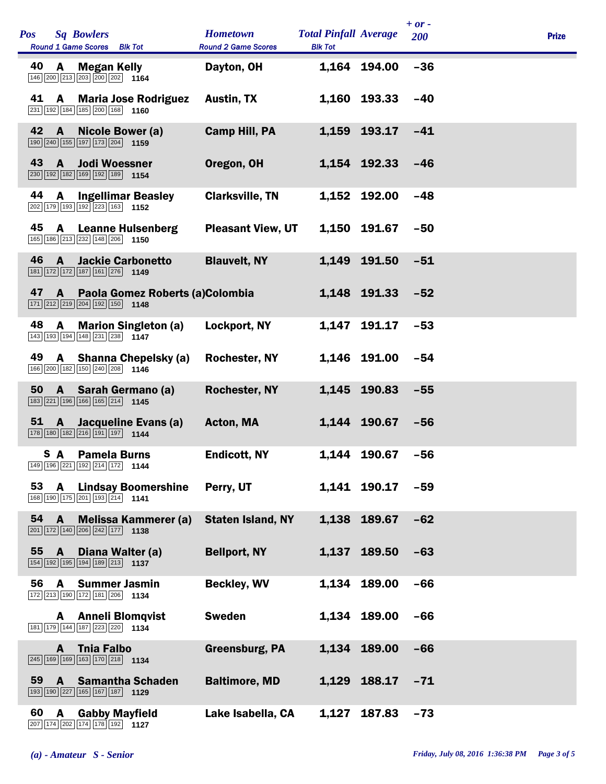| <b>Pos</b> | <b>Sq Bowlers</b><br>Round 1 Game Scores Blk Tot                                                                |                                 | <b>Hometown</b><br><b>Round 2 Game Scores</b> | <b>Total Pinfall Average</b><br><b>Blk Tot</b> |              | $+ or -$<br>200 | <b>Prize</b> |
|------------|-----------------------------------------------------------------------------------------------------------------|---------------------------------|-----------------------------------------------|------------------------------------------------|--------------|-----------------|--------------|
| 40         | A<br>146 200 213 203 200 202 1164                                                                               | <b>Megan Kelly</b>              | Dayton, OH                                    |                                                | 1,164 194.00 | $-36$           |              |
| 41         | A<br>231 192 184 185 200 168 1160                                                                               | <b>Maria Jose Rodriguez</b>     | <b>Austin, TX</b>                             |                                                | 1,160 193.33 | $-40$           |              |
| 42         | $\mathbf{A}$<br>190 240 155 197 173 204 159                                                                     | <b>Nicole Bower (a)</b>         | <b>Camp Hill, PA</b>                          |                                                | 1,159 193.17 | $-41$           |              |
| 43         | $\mathbf{A}$<br>230 192 182 169 192 189 1154                                                                    | <b>Jodi Woessner</b>            | Oregon, OH                                    |                                                | 1,154 192.33 | -46             |              |
| 44         | A<br>202 179 193 192 223 163 1152                                                                               | <b>Ingellimar Beasley</b>       | <b>Clarksville, TN</b>                        |                                                | 1,152 192.00 | $-48$           |              |
| 45         | A<br>165 186 213 232 148 206 1150                                                                               | <b>Leanne Hulsenberg</b>        | <b>Pleasant View, UT</b>                      |                                                | 1,150 191.67 | $-50$           |              |
| 46         | $\mathbf{A}$<br>$\boxed{181}$ $\boxed{172}$ $\boxed{172}$ $\boxed{187}$ $\boxed{161}$ $\boxed{276}$ 1149        | <b>Jackie Carbonetto</b>        | <b>Blauvelt, NY</b>                           |                                                | 1,149 191.50 | $-51$           |              |
| 47         | $\mathbf{A}$<br>$\boxed{171}$ $\boxed{212}$ $\boxed{219}$ $\boxed{204}$ $\boxed{192}$ $\boxed{150}$ <b>1148</b> | Paola Gomez Roberts (a)Colombia |                                               |                                                | 1,148 191.33 | $-52$           |              |
| 48         | A<br>143 193 194 148 231 238 1147                                                                               | <b>Marion Singleton (a)</b>     | Lockport, NY                                  | 1,147                                          | 191.17       | $-53$           |              |
| 49         | A<br>166 200 182 150 240 208 1146                                                                               | <b>Shanna Chepelsky (a)</b>     | <b>Rochester, NY</b>                          |                                                | 1,146 191.00 | $-54$           |              |
| 50         | A<br>183 221 196 166 165 214 1145                                                                               | Sarah Germano (a)               | <b>Rochester, NY</b>                          |                                                | 1,145 190.83 | $-55$           |              |
| 51         | <b>A</b><br>178 180 182 216 191 197 1144                                                                        | Jacqueline Evans (a)            | Acton, MA                                     |                                                | 1,144 190.67 | $-56$           |              |
|            | S A<br>$ 149   196   221   192   214   172 $ 1144                                                               | <b>Pamela Burns</b>             | <b>Endicott, NY</b>                           |                                                | 1,144 190.67 | $-56$           |              |
| 53         | A<br>168 190 175 201 193 214 1141                                                                               | <b>Lindsay Boomershine</b>      | Perry, UT                                     |                                                | 1,141 190.17 | $-59$           |              |
| 54         | $\mathbf{A}$<br>$\boxed{201}$ 172 140 206 242 177 1138                                                          | <b>Melissa Kammerer (a)</b>     | <b>Staten Island, NY</b>                      |                                                | 1,138 189.67 | $-62$           |              |
| 55         | $\mathbf{A}$<br>154 192 195 194 189 213 1137                                                                    | Diana Walter (a)                | <b>Bellport, NY</b>                           |                                                | 1,137 189.50 | $-63$           |              |
| 56         | A<br>172 213 190 172 181 206 1134                                                                               | <b>Summer Jasmin</b>            | <b>Beckley, WV</b>                            |                                                | 1,134 189.00 | $-66$           |              |
|            | A<br>181 179 144 187 223 220 1134                                                                               | <b>Anneli Blomqvist</b>         | <b>Sweden</b>                                 |                                                | 1,134 189.00 | $-66$           |              |
|            | A<br>245 169 169 163 170 218 1134                                                                               | <b>Thia Falbo</b>               | <b>Greensburg, PA</b>                         |                                                | 1,134 189.00 | $-66$           |              |
| 59         | $\mathbf{A}$<br>193 190 227 165 167 187 1129                                                                    | <b>Samantha Schaden</b>         | <b>Baltimore, MD</b>                          |                                                | 1,129 188.17 | $-71$           |              |
| 60         | A<br>207 174 202 174 178 192 1127                                                                               | <b>Gabby Mayfield</b>           | Lake Isabella, CA                             | 1,127                                          | 187.83       | $-73$           |              |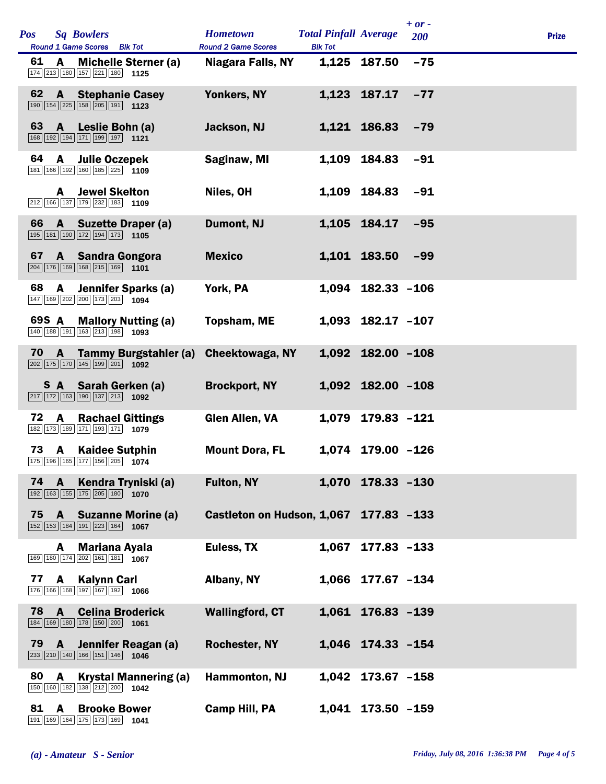| <b>Pos</b> |              | <b>Sq Bowlers</b><br>Round 1 Game Scores Blk Tot                                                                               | <b>Hometown</b><br><b>Round 2 Game Scores</b> | <b>Total Pinfall Average</b><br><b>Blk Tot</b> |                       | $+ or -$<br>200 | <b>Prize</b> |
|------------|--------------|--------------------------------------------------------------------------------------------------------------------------------|-----------------------------------------------|------------------------------------------------|-----------------------|-----------------|--------------|
| 61         | A            | <b>Michelle Sterner (a)</b><br>174 213 180 157 221 180 1125                                                                    | Niagara Falls, NY                             |                                                | 1,125 187.50          | $-75$           |              |
| 62         | $\mathbf{A}$ | <b>Stephanie Casey</b><br>$\boxed{190}$ $\boxed{154}$ $\boxed{225}$ $\boxed{158}$ $\boxed{205}$ $\boxed{191}$ <b>1123</b>      | Yonkers, NY                                   |                                                | 1,123 187.17          | $-77$           |              |
| 63         | $\mathbf{A}$ | Leslie Bohn (a)<br>168 192 194 171 199 197 1121                                                                                | Jackson, NJ                                   |                                                | 1.121 186.83          | $-79$           |              |
| 64         | A            | <b>Julie Oczepek</b><br>181 166 192 160 185 225 1109                                                                           | Saginaw, MI                                   | 1,109                                          | 184.83                | $-91$           |              |
|            | A            | <b>Jewel Skelton</b><br>$\boxed{212}$ 166 137 179 232 183 1109                                                                 | Niles, OH                                     |                                                | 1,109 184.83          | $-91$           |              |
| 66         | $\mathbf{A}$ | <b>Suzette Draper (a)</b><br>195 181 190 172 194 173 105                                                                       | Dumont, NJ                                    |                                                | 1,105 184.17          | $-95$           |              |
| 67         | $\mathbf{A}$ | <b>Sandra Gongora</b><br>204 176 169 168 215 169 1101                                                                          | <b>Mexico</b>                                 |                                                | 1,101 183.50          | $-99$           |              |
| 68         | A            | Jennifer Sparks (a)<br>147 169 202 200 173 203 1094                                                                            | York, PA                                      |                                                | 1,094 182.33 -106     |                 |              |
|            | 69S A        | <b>Mallory Nutting (a)</b><br>140 188 191 163 213 198 1093                                                                     | <b>Topsham, ME</b>                            |                                                | 1,093 182.17 -107     |                 |              |
| 70         | $\mathbf{A}$ | <b>Tammy Burgstahler (a)</b><br>$\boxed{202}$ 175 170 145 199 201 1092                                                         | <b>Cheektowaga, NY</b>                        |                                                | 1,092 182.00 -108     |                 |              |
|            | S A          | Sarah Gerken (a)<br>$\boxed{217}$ $\boxed{172}$ $\boxed{163}$ $\boxed{190}$ $\boxed{137}$ $\boxed{213}$ <b>1092</b>            | <b>Brockport, NY</b>                          |                                                | $1,092$ 182.00 $-108$ |                 |              |
| 72         | A            | <b>Rachael Gittings</b><br>182 173 189 171 193 171 1079                                                                        | <b>Glen Allen, VA</b>                         | 1,079                                          | 179.83 -121           |                 |              |
| 73         | <b>A</b>     | <b>Kaidee Sutphin</b><br>175 196 165 177 156 205 1074                                                                          | <b>Mount Dora, FL</b>                         |                                                | 1,074 179.00 -126     |                 |              |
| 74         | $\mathbf{A}$ | Kendra Tryniski (a)<br>$\boxed{192}$ $\boxed{163}$ $\boxed{155}$ $\boxed{175}$ $\boxed{205}$ $\boxed{180}$ $\boxed{1070}$      | <b>Fulton, NY</b>                             |                                                | 1,070 178.33 -130     |                 |              |
| 75         |              | <b>A</b> Suzanne Morine (a)<br>$\boxed{152}$ $\boxed{153}$ $\boxed{184}$ $\boxed{191}$ $\boxed{223}$ $\boxed{164}$ <b>1067</b> | Castleton on Hudson, 1,067 177.83 -133        |                                                |                       |                 |              |
|            | A            | <b>Mariana Ayala</b><br>169 180 174 202 161 181 1067                                                                           | Euless, TX                                    | 1,067                                          | 177.83 -133           |                 |              |
| 77         | A            | <b>Kalynn Carl</b><br>176 166 168 197 167 192 1066                                                                             | Albany, NY                                    |                                                | 1,066 177.67 -134     |                 |              |
| 78         | $\mathbf{A}$ | <b>Celina Broderick</b><br>184 169 180 178 150 200 1061                                                                        | <b>Wallingford, CT</b>                        |                                                | 1,061 176.83 -139     |                 |              |
| 79         | $\mathbf{A}$ | Jennifer Reagan (a)<br>$\boxed{233}$ $\boxed{210}$ $\boxed{140}$ $\boxed{166}$ $\boxed{151}$ $\boxed{146}$ <b>1046</b>         | <b>Rochester, NY</b>                          |                                                | 1,046 174.33 -154     |                 |              |
| 80         | A            | <b>Krystal Mannering (a)</b><br>150 160 182 138 212 200 1042                                                                   | Hammonton, NJ                                 |                                                | 1,042 173.67 -158     |                 |              |
| 81         | A            | <b>Brooke Bower</b><br>191 169 164 175 173 169 1041                                                                            | <b>Camp Hill, PA</b>                          |                                                | 1,041 173.50 -159     |                 |              |